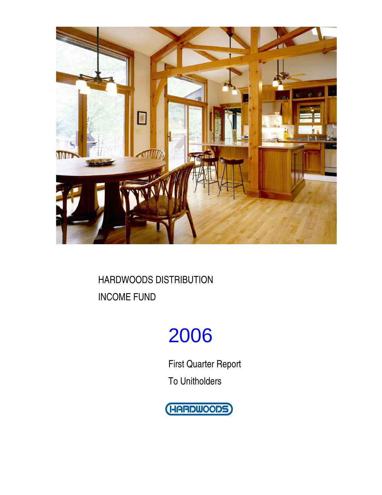

# 2006

First Quarter Report To Unitholders

(HARDWOODS)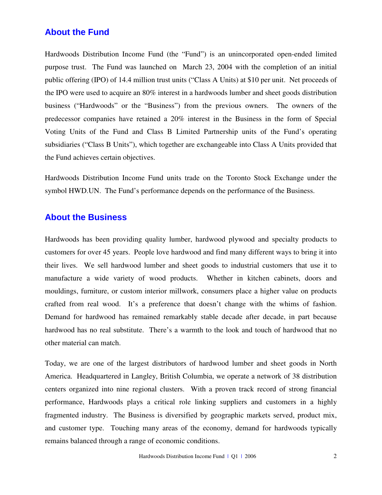### **About the Fund**

Hardwoods Distribution Income Fund (the "Fund") is an unincorporated open-ended limited purpose trust. The Fund was launched on March 23, 2004 with the completion of an initial public offering (IPO) of 14.4 million trust units ("Class A Units) at \$10 per unit. Net proceeds of the IPO were used to acquire an 80% interest in a hardwoods lumber and sheet goods distribution business ("Hardwoods" or the "Business") from the previous owners. The owners of the predecessor companies have retained a 20% interest in the Business in the form of Special Voting Units of the Fund and Class B Limited Partnership units of the Fund's operating subsidiaries ("Class B Units"), which together are exchangeable into Class A Units provided that the Fund achieves certain objectives.

Hardwoods Distribution Income Fund units trade on the Toronto Stock Exchange under the symbol HWD.UN. The Fund's performance depends on the performance of the Business.

### **About the Business**

Hardwoods has been providing quality lumber, hardwood plywood and specialty products to customers for over 45 years. People love hardwood and find many different ways to bring it into their lives. We sell hardwood lumber and sheet goods to industrial customers that use it to manufacture a wide variety of wood products. Whether in kitchen cabinets, doors and mouldings, furniture, or custom interior millwork, consumers place a higher value on products crafted from real wood. It's a preference that doesn't change with the whims of fashion. Demand for hardwood has remained remarkably stable decade after decade, in part because hardwood has no real substitute. There's a warmth to the look and touch of hardwood that no other material can match.

Today, we are one of the largest distributors of hardwood lumber and sheet goods in North America. Headquartered in Langley, British Columbia, we operate a network of 38 distribution centers organized into nine regional clusters. With a proven track record of strong financial performance, Hardwoods plays a critical role linking suppliers and customers in a highly fragmented industry. The Business is diversified by geographic markets served, product mix, and customer type. Touching many areas of the economy, demand for hardwoods typically remains balanced through a range of economic conditions.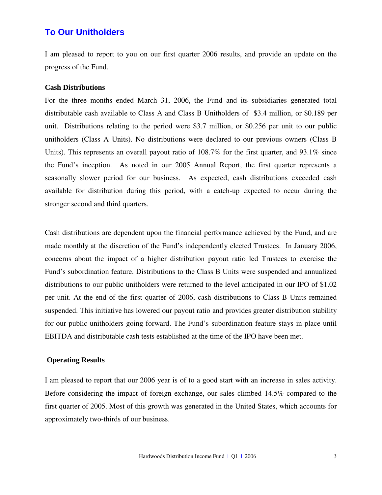### **To Our Unitholders**

I am pleased to report to you on our first quarter 2006 results, and provide an update on the progress of the Fund.

### **Cash Distributions**

For the three months ended March 31, 2006, the Fund and its subsidiaries generated total distributable cash available to Class A and Class B Unitholders of \$3.4 million, or \$0.189 per unit. Distributions relating to the period were \$3.7 million, or \$0.256 per unit to our public unitholders (Class A Units). No distributions were declared to our previous owners (Class B Units). This represents an overall payout ratio of 108.7% for the first quarter, and 93.1% since the Fund's inception. As noted in our 2005 Annual Report, the first quarter represents a seasonally slower period for our business. As expected, cash distributions exceeded cash available for distribution during this period, with a catch-up expected to occur during the stronger second and third quarters.

Cash distributions are dependent upon the financial performance achieved by the Fund, and are made monthly at the discretion of the Fund's independently elected Trustees. In January 2006, concerns about the impact of a higher distribution payout ratio led Trustees to exercise the Fund's subordination feature. Distributions to the Class B Units were suspended and annualized distributions to our public unitholders were returned to the level anticipated in our IPO of \$1.02 per unit. At the end of the first quarter of 2006, cash distributions to Class B Units remained suspended. This initiative has lowered our payout ratio and provides greater distribution stability for our public unitholders going forward. The Fund's subordination feature stays in place until EBITDA and distributable cash tests established at the time of the IPO have been met.

### **Operating Results**

I am pleased to report that our 2006 year is of to a good start with an increase in sales activity. Before considering the impact of foreign exchange, our sales climbed 14.5% compared to the first quarter of 2005. Most of this growth was generated in the United States, which accounts for approximately two-thirds of our business.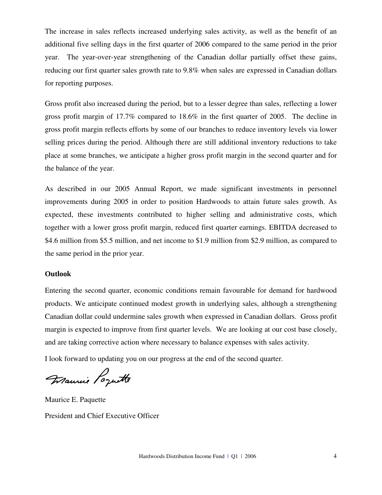The increase in sales reflects increased underlying sales activity, as well as the benefit of an additional five selling days in the first quarter of 2006 compared to the same period in the prior year. The year-over-year strengthening of the Canadian dollar partially offset these gains, reducing our first quarter sales growth rate to 9.8% when sales are expressed in Canadian dollars for reporting purposes.

Gross profit also increased during the period, but to a lesser degree than sales, reflecting a lower gross profit margin of 17.7% compared to 18.6% in the first quarter of 2005. The decline in gross profit margin reflects efforts by some of our branches to reduce inventory levels via lower selling prices during the period. Although there are still additional inventory reductions to take place at some branches, we anticipate a higher gross profit margin in the second quarter and for the balance of the year.

As described in our 2005 Annual Report, we made significant investments in personnel improvements during 2005 in order to position Hardwoods to attain future sales growth. As expected, these investments contributed to higher selling and administrative costs, which together with a lower gross profit margin, reduced first quarter earnings. EBITDA decreased to \$4.6 million from \$5.5 million, and net income to \$1.9 million from \$2.9 million, as compared to the same period in the prior year.

### **Outlook**

Entering the second quarter, economic conditions remain favourable for demand for hardwood products. We anticipate continued modest growth in underlying sales, although a strengthening Canadian dollar could undermine sales growth when expressed in Canadian dollars. Gross profit margin is expected to improve from first quarter levels. We are looking at our cost base closely, and are taking corrective action where necessary to balance expenses with sales activity.

I look forward to updating you on our progress at the end of the second quarter.

Francie Poquette

Maurice E. Paquette President and Chief Executive Officer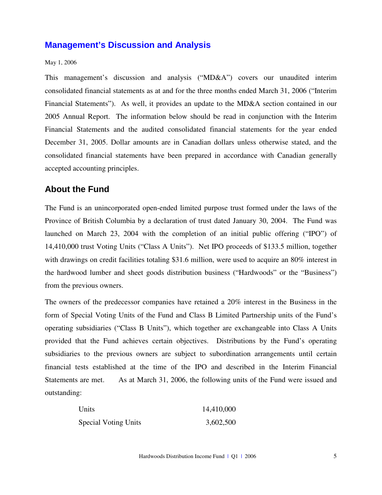### **Management's Discussion and Analysis**

### May 1, 2006

This management's discussion and analysis ("MD&A") covers our unaudited interim consolidated financial statements as at and for the three months ended March 31, 2006 ("Interim Financial Statements"). As well, it provides an update to the MD&A section contained in our 2005 Annual Report. The information below should be read in conjunction with the Interim Financial Statements and the audited consolidated financial statements for the year ended December 31, 2005. Dollar amounts are in Canadian dollars unless otherwise stated, and the consolidated financial statements have been prepared in accordance with Canadian generally accepted accounting principles.

### **About the Fund**

The Fund is an unincorporated open-ended limited purpose trust formed under the laws of the Province of British Columbia by a declaration of trust dated January 30, 2004. The Fund was launched on March 23, 2004 with the completion of an initial public offering ("IPO") of 14,410,000 trust Voting Units ("Class A Units"). Net IPO proceeds of \$133.5 million, together with drawings on credit facilities totaling \$31.6 million, were used to acquire an 80% interest in the hardwood lumber and sheet goods distribution business ("Hardwoods" or the "Business") from the previous owners.

The owners of the predecessor companies have retained a 20% interest in the Business in the form of Special Voting Units of the Fund and Class B Limited Partnership units of the Fund's operating subsidiaries ("Class B Units"), which together are exchangeable into Class A Units provided that the Fund achieves certain objectives. Distributions by the Fund's operating subsidiaries to the previous owners are subject to subordination arrangements until certain financial tests established at the time of the IPO and described in the Interim Financial Statements are met. As at March 31, 2006, the following units of the Fund were issued and outstanding:

| Units                       | 14,410,000 |
|-----------------------------|------------|
| <b>Special Voting Units</b> | 3,602,500  |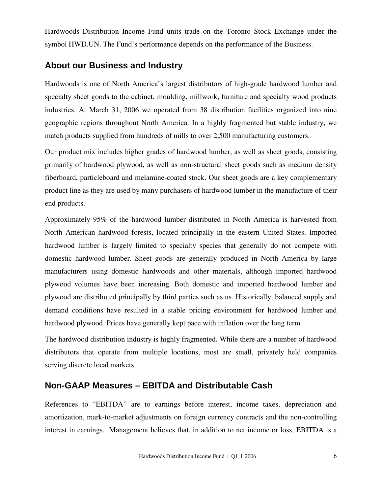Hardwoods Distribution Income Fund units trade on the Toronto Stock Exchange under the symbol HWD.UN. The Fund's performance depends on the performance of the Business.

### **About our Business and Industry**

Hardwoods is one of North America's largest distributors of high-grade hardwood lumber and specialty sheet goods to the cabinet, moulding, millwork, furniture and specialty wood products industries. At March 31, 2006 we operated from 38 distribution facilities organized into nine geographic regions throughout North America. In a highly fragmented but stable industry, we match products supplied from hundreds of mills to over 2,500 manufacturing customers.

Our product mix includes higher grades of hardwood lumber, as well as sheet goods, consisting primarily of hardwood plywood, as well as non-structural sheet goods such as medium density fiberboard, particleboard and melamine-coated stock. Our sheet goods are a key complementary product line as they are used by many purchasers of hardwood lumber in the manufacture of their end products.

Approximately 95% of the hardwood lumber distributed in North America is harvested from North American hardwood forests, located principally in the eastern United States. Imported hardwood lumber is largely limited to specialty species that generally do not compete with domestic hardwood lumber. Sheet goods are generally produced in North America by large manufacturers using domestic hardwoods and other materials, although imported hardwood plywood volumes have been increasing. Both domestic and imported hardwood lumber and plywood are distributed principally by third parties such as us. Historically, balanced supply and demand conditions have resulted in a stable pricing environment for hardwood lumber and hardwood plywood. Prices have generally kept pace with inflation over the long term.

The hardwood distribution industry is highly fragmented. While there are a number of hardwood distributors that operate from multiple locations, most are small, privately held companies serving discrete local markets.

### **Non-GAAP Measures – EBITDA and Distributable Cash**

References to "EBITDA" are to earnings before interest, income taxes, depreciation and amortization, mark-to-market adjustments on foreign currency contracts and the non-controlling interest in earnings. Management believes that, in addition to net income or loss, EBITDA is a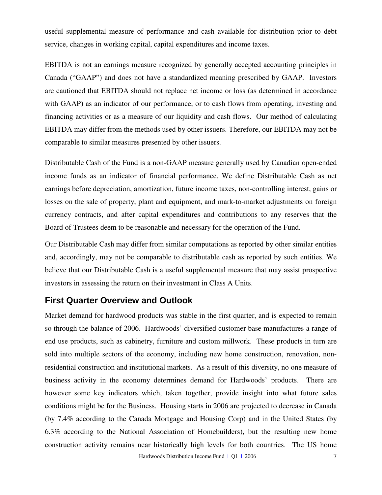useful supplemental measure of performance and cash available for distribution prior to debt service, changes in working capital, capital expenditures and income taxes.

EBITDA is not an earnings measure recognized by generally accepted accounting principles in Canada ("GAAP") and does not have a standardized meaning prescribed by GAAP. Investors are cautioned that EBITDA should not replace net income or loss (as determined in accordance with GAAP) as an indicator of our performance, or to cash flows from operating, investing and financing activities or as a measure of our liquidity and cash flows. Our method of calculating EBITDA may differ from the methods used by other issuers. Therefore, our EBITDA may not be comparable to similar measures presented by other issuers.

Distributable Cash of the Fund is a non-GAAP measure generally used by Canadian open-ended income funds as an indicator of financial performance. We define Distributable Cash as net earnings before depreciation, amortization, future income taxes, non-controlling interest, gains or losses on the sale of property, plant and equipment, and mark-to-market adjustments on foreign currency contracts, and after capital expenditures and contributions to any reserves that the Board of Trustees deem to be reasonable and necessary for the operation of the Fund.

Our Distributable Cash may differ from similar computations as reported by other similar entities and, accordingly, may not be comparable to distributable cash as reported by such entities. We believe that our Distributable Cash is a useful supplemental measure that may assist prospective investors in assessing the return on their investment in Class A Units.

### **First Quarter Overview and Outlook**

Market demand for hardwood products was stable in the first quarter, and is expected to remain so through the balance of 2006. Hardwoods' diversified customer base manufactures a range of end use products, such as cabinetry, furniture and custom millwork. These products in turn are sold into multiple sectors of the economy, including new home construction, renovation, nonresidential construction and institutional markets. As a result of this diversity, no one measure of business activity in the economy determines demand for Hardwoods' products. There are however some key indicators which, taken together, provide insight into what future sales conditions might be for the Business. Housing starts in 2006 are projected to decrease in Canada (by 7.4% according to the Canada Mortgage and Housing Corp) and in the United States (by 6.3% according to the National Association of Homebuilders), but the resulting new home construction activity remains near historically high levels for both countries. The US home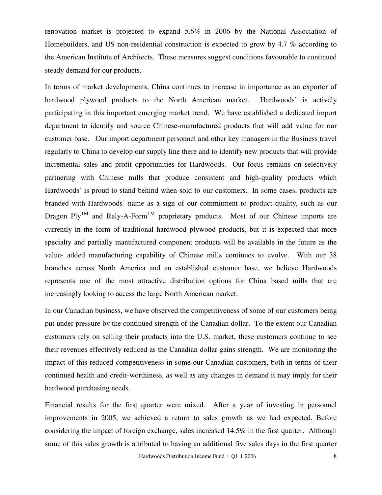renovation market is projected to expand 5.6% in 2006 by the National Association of Homebuilders, and US non-residential construction is expected to grow by 4.7 % according to the American Institute of Architects. These measures suggest conditions favourable to continued steady demand for our products.

In terms of market developments, China continues to increase in importance as an exporter of hardwood plywood products to the North American market. Hardwoods' is actively participating in this important emerging market trend. We have established a dedicated import department to identify and source Chinese-manufactured products that will add value for our customer base. Our import department personnel and other key managers in the Business travel regularly to China to develop our supply line there and to identify new products that will provide incremental sales and profit opportunities for Hardwoods. Our focus remains on selectively partnering with Chinese mills that produce consistent and high-quality products which Hardwoods' is proud to stand behind when sold to our customers. In some cases, products are branded with Hardwoods' name as a sign of our commitment to product quality, such as our Dragon Ply<sup>TM</sup> and Rely-A-Form<sup>TM</sup> proprietary products. Most of our Chinese imports are currently in the form of traditional hardwood plywood products, but it is expected that more specialty and partially manufactured component products will be available in the future as the value- added manufacturing capability of Chinese mills continues to evolve. With our 38 branches across North America and an established customer base, we believe Hardwoods represents one of the most attractive distribution options for China based mills that are increasingly looking to access the large North American market.

In our Canadian business, we have observed the competitiveness of some of our customers being put under pressure by the continued strength of the Canadian dollar. To the extent our Canadian customers rely on selling their products into the U.S. market, these customers continue to see their revenues effectively reduced as the Canadian dollar gains strength. We are monitoring the impact of this reduced competitiveness in some our Canadian customers, both in terms of their continued health and credit-worthiness, as well as any changes in demand it may imply for their hardwood purchasing needs.

Financial results for the first quarter were mixed. After a year of investing in personnel improvements in 2005, we achieved a return to sales growth as we had expected. Before considering the impact of foreign exchange, sales increased 14.5% in the first quarter. Although some of this sales growth is attributed to having an additional five sales days in the first quarter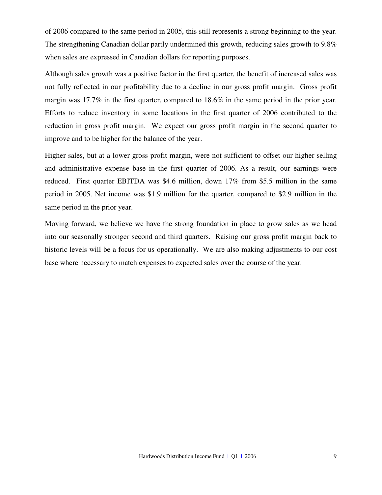of 2006 compared to the same period in 2005, this still represents a strong beginning to the year. The strengthening Canadian dollar partly undermined this growth, reducing sales growth to 9.8% when sales are expressed in Canadian dollars for reporting purposes.

Although sales growth was a positive factor in the first quarter, the benefit of increased sales was not fully reflected in our profitability due to a decline in our gross profit margin. Gross profit margin was 17.7% in the first quarter, compared to 18.6% in the same period in the prior year. Efforts to reduce inventory in some locations in the first quarter of 2006 contributed to the reduction in gross profit margin. We expect our gross profit margin in the second quarter to improve and to be higher for the balance of the year.

Higher sales, but at a lower gross profit margin, were not sufficient to offset our higher selling and administrative expense base in the first quarter of 2006. As a result, our earnings were reduced. First quarter EBITDA was \$4.6 million, down 17% from \$5.5 million in the same period in 2005. Net income was \$1.9 million for the quarter, compared to \$2.9 million in the same period in the prior year.

Moving forward, we believe we have the strong foundation in place to grow sales as we head into our seasonally stronger second and third quarters. Raising our gross profit margin back to historic levels will be a focus for us operationally. We are also making adjustments to our cost base where necessary to match expenses to expected sales over the course of the year.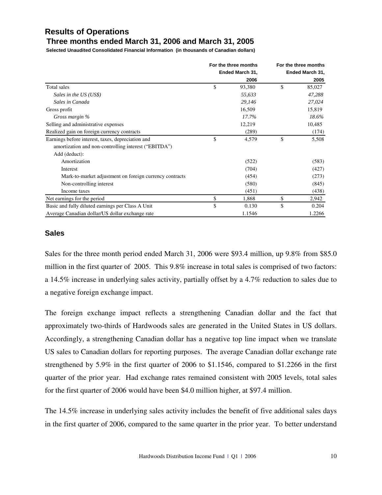### **Results of Operations Three months ended March 31, 2006 and March 31, 2005**

**Selected Unaudited Consolidated Financial Information (in thousands of Canadian dollars)**

|                                                         | For the three months |    | For the three months |
|---------------------------------------------------------|----------------------|----|----------------------|
|                                                         | Ended March 31,      |    | Ended March 31,      |
|                                                         | 2006                 |    | 2005                 |
| Total sales                                             | \$<br>93,380         | \$ | 85,027               |
| Sales in the US (US\$)                                  | 55,633               |    | 47,288               |
| Sales in Canada                                         | 29,146               |    | 27,024               |
| Gross profit                                            | 16,509               |    | 15,819               |
| Gross margin %                                          | 17.7%                |    | 18.6%                |
| Selling and administrative expenses                     | 12,219               |    | 10,485               |
| Realized gain on foreign currency contracts             | (289)                |    | (174)                |
| Earnings before interest, taxes, depreciation and       | \$<br>4,579          | \$ | 5,508                |
| amortization and non-controlling interest ("EBITDA")    |                      |    |                      |
| Add (deduct):                                           |                      |    |                      |
| Amortization                                            | (522)                |    | (583)                |
| Interest                                                | (704)                |    | (427)                |
| Mark-to-market adjustment on foreign currency contracts | (454)                |    | (273)                |
| Non-controlling interest                                | (580)                |    | (845)                |
| Income taxes                                            | (451)                |    | (438)                |
| Net earnings for the period                             | \$<br>1,868          | \$ | 2,942                |
| Basic and fully diluted earnings per Class A Unit       | \$<br>0.130          | \$ | 0.204                |
| Average Canadian dollar/US dollar exchange rate         | 1.1546               |    | 1.2266               |

### **Sales**

Sales for the three month period ended March 31, 2006 were \$93.4 million, up 9.8% from \$85.0 million in the first quarter of 2005. This 9.8% increase in total sales is comprised of two factors: a 14.5% increase in underlying sales activity, partially offset by a 4.7% reduction to sales due to a negative foreign exchange impact.

The foreign exchange impact reflects a strengthening Canadian dollar and the fact that approximately two-thirds of Hardwoods sales are generated in the United States in US dollars. Accordingly, a strengthening Canadian dollar has a negative top line impact when we translate US sales to Canadian dollars for reporting purposes. The average Canadian dollar exchange rate strengthened by 5.9% in the first quarter of 2006 to \$1.1546, compared to \$1.2266 in the first quarter of the prior year. Had exchange rates remained consistent with 2005 levels, total sales for the first quarter of 2006 would have been \$4.0 million higher, at \$97.4 million.

The 14.5% increase in underlying sales activity includes the benefit of five additional sales days in the first quarter of 2006, compared to the same quarter in the prior year. To better understand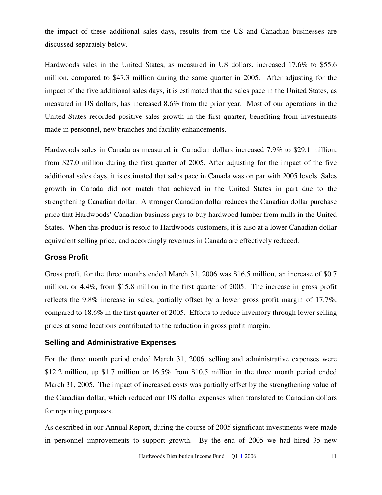the impact of these additional sales days, results from the US and Canadian businesses are discussed separately below.

Hardwoods sales in the United States, as measured in US dollars, increased 17.6% to \$55.6 million, compared to \$47.3 million during the same quarter in 2005. After adjusting for the impact of the five additional sales days, it is estimated that the sales pace in the United States, as measured in US dollars, has increased 8.6% from the prior year. Most of our operations in the United States recorded positive sales growth in the first quarter, benefiting from investments made in personnel, new branches and facility enhancements.

Hardwoods sales in Canada as measured in Canadian dollars increased 7.9% to \$29.1 million, from \$27.0 million during the first quarter of 2005. After adjusting for the impact of the five additional sales days, it is estimated that sales pace in Canada was on par with 2005 levels. Sales growth in Canada did not match that achieved in the United States in part due to the strengthening Canadian dollar. A stronger Canadian dollar reduces the Canadian dollar purchase price that Hardwoods' Canadian business pays to buy hardwood lumber from mills in the United States. When this product is resold to Hardwoods customers, it is also at a lower Canadian dollar equivalent selling price, and accordingly revenues in Canada are effectively reduced.

### **Gross Profit**

Gross profit for the three months ended March 31, 2006 was \$16.5 million, an increase of \$0.7 million, or 4.4%, from \$15.8 million in the first quarter of 2005. The increase in gross profit reflects the 9.8% increase in sales, partially offset by a lower gross profit margin of 17.7%, compared to 18.6% in the first quarter of 2005. Efforts to reduce inventory through lower selling prices at some locations contributed to the reduction in gross profit margin.

### **Selling and Administrative Expenses**

For the three month period ended March 31, 2006, selling and administrative expenses were \$12.2 million, up \$1.7 million or 16.5% from \$10.5 million in the three month period ended March 31, 2005. The impact of increased costs was partially offset by the strengthening value of the Canadian dollar, which reduced our US dollar expenses when translated to Canadian dollars for reporting purposes.

As described in our Annual Report, during the course of 2005 significant investments were made in personnel improvements to support growth. By the end of 2005 we had hired 35 new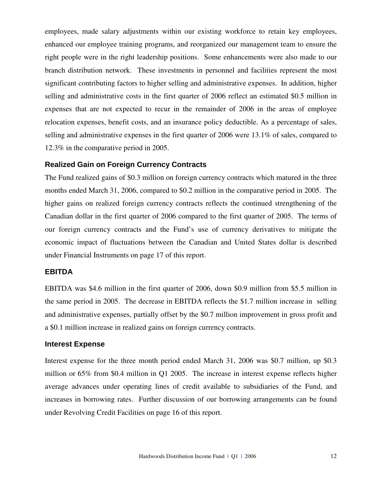employees, made salary adjustments within our existing workforce to retain key employees, enhanced our employee training programs, and reorganized our management team to ensure the right people were in the right leadership positions. Some enhancements were also made to our branch distribution network. These investments in personnel and facilities represent the most significant contributing factors to higher selling and administrative expenses. In addition, higher selling and administrative costs in the first quarter of 2006 reflect an estimated \$0.5 million in expenses that are not expected to recur in the remainder of 2006 in the areas of employee relocation expenses, benefit costs, and an insurance policy deductible. As a percentage of sales, selling and administrative expenses in the first quarter of 2006 were 13.1% of sales, compared to 12.3% in the comparative period in 2005.

### **Realized Gain on Foreign Currency Contracts**

The Fund realized gains of \$0.3 million on foreign currency contracts which matured in the three months ended March 31, 2006, compared to \$0.2 million in the comparative period in 2005. The higher gains on realized foreign currency contracts reflects the continued strengthening of the Canadian dollar in the first quarter of 2006 compared to the first quarter of 2005. The terms of our foreign currency contracts and the Fund's use of currency derivatives to mitigate the economic impact of fluctuations between the Canadian and United States dollar is described under Financial Instruments on page 17 of this report.

### **EBITDA**

EBITDA was \$4.6 million in the first quarter of 2006, down \$0.9 million from \$5.5 million in the same period in 2005. The decrease in EBITDA reflects the \$1.7 million increase in selling and administrative expenses, partially offset by the \$0.7 million improvement in gross profit and a \$0.1 million increase in realized gains on foreign currency contracts.

### **Interest Expense**

Interest expense for the three month period ended March 31, 2006 was \$0.7 million, up \$0.3 million or 65% from \$0.4 million in Q1 2005. The increase in interest expense reflects higher average advances under operating lines of credit available to subsidiaries of the Fund, and increases in borrowing rates. Further discussion of our borrowing arrangements can be found under Revolving Credit Facilities on page 16 of this report.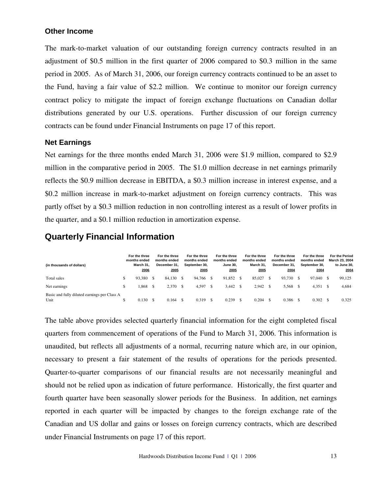### **Other Income**

The mark-to-market valuation of our outstanding foreign currency contracts resulted in an adjustment of \$0.5 million in the first quarter of 2006 compared to \$0.3 million in the same period in 2005. As of March 31, 2006, our foreign currency contracts continued to be an asset to the Fund, having a fair value of \$2.2 million. We continue to monitor our foreign currency contract policy to mitigate the impact of foreign exchange fluctuations on Canadian dollar distributions generated by our U.S. operations. Further discussion of our foreign currency contracts can be found under Financial Instruments on page 17 of this report.

### **Net Earnings**

Net earnings for the three months ended March 31, 2006 were \$1.9 million, compared to \$2.9 million in the comparative period in 2005. The \$1.0 million decrease in net earnings primarily reflects the \$0.9 million decrease in EBITDA, a \$0.3 million increase in interest expense, and a \$0.2 million increase in mark-to-market adjustment on foreign currency contracts. This was partly offset by a \$0.3 million reduction in non controlling interest as a result of lower profits in the quarter, and a \$0.1 million reduction in amortization expense.

### **Quarterly Financial Information**

| (in thousands of dollars)                            | For the three<br>months ended<br>March 31,<br>2006 | For the three<br>months ended<br>December 31.<br>2005 |    | For the three<br>months ended<br>September 30.<br>2005 |    | For the three<br>months ended<br><b>June 30.</b><br>2005 |      | For the three<br>months ended<br>March 31.<br>2005 | For the three<br>months ended<br>December 31.<br>2004 | For the three<br>months ended<br>September 30.<br>2004 | <b>For the Period</b><br>March 23, 2004<br>to June 30,<br>2004 |
|------------------------------------------------------|----------------------------------------------------|-------------------------------------------------------|----|--------------------------------------------------------|----|----------------------------------------------------------|------|----------------------------------------------------|-------------------------------------------------------|--------------------------------------------------------|----------------------------------------------------------------|
| Total sales                                          | 93.380                                             | 84.130                                                | £. | 94.766                                                 |    | 91.852                                                   | - \$ | 85,027                                             | 93.730                                                | 97,040                                                 | 99,125                                                         |
| Net earnings                                         | .868                                               | 2.370                                                 |    | 4.597                                                  |    | 3.442                                                    | - \$ | 2.942                                              | 5.568                                                 | 4.351                                                  | 4,684                                                          |
| Basic and fully diluted earnings per Class A<br>Unit | 0.130                                              | 0.164                                                 |    | 0.319                                                  | -S | 0.239                                                    |      | 0.204                                              | 0.386                                                 | 0.302                                                  | 0.325                                                          |

The table above provides selected quarterly financial information for the eight completed fiscal quarters from commencement of operations of the Fund to March 31, 2006. This information is unaudited, but reflects all adjustments of a normal, recurring nature which are, in our opinion, necessary to present a fair statement of the results of operations for the periods presented. Quarter-to-quarter comparisons of our financial results are not necessarily meaningful and should not be relied upon as indication of future performance. Historically, the first quarter and fourth quarter have been seasonally slower periods for the Business. In addition, net earnings reported in each quarter will be impacted by changes to the foreign exchange rate of the Canadian and US dollar and gains or losses on foreign currency contracts, which are described under Financial Instruments on page 17 of this report.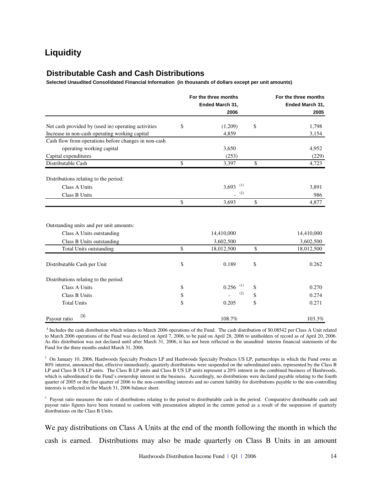### **Liquidity**

### **Distributable Cash and Cash Distributions**

**Selected Unaudited Consolidated Financial Information (in thousands of dollars except per unit amounts)**

|                                                      |               | For the three months | For the three months |
|------------------------------------------------------|---------------|----------------------|----------------------|
|                                                      |               | Ended March 31,      | Ended March 31,      |
|                                                      |               | 2006                 | 2005                 |
| Net cash provided by (used in) operating activities  | \$            | (1,209)              | \$<br>1,798          |
| Increase in non-cash operating working capital       |               | 4,859                | 3,154                |
| Cash flow from operations before changes in non-cash |               |                      |                      |
| operating working capital                            |               | 3,650                | 4,952                |
| Capital expenditures                                 |               | (253)                | (229)                |
| Distributable Cash                                   | \$            | 3,397                | \$<br>4,723          |
| Distributions relating to the period:                |               |                      |                      |
| Class A Units                                        |               | (1)<br>3,693         | 3,891                |
| Class B Units                                        |               | (2)                  | 986                  |
|                                                      | $\mathsf{\$}$ | 3,693                | \$<br>4,877          |
|                                                      |               |                      |                      |
| Outstanding units and per unit amounts:              |               |                      |                      |
| Class A Units outstanding                            |               | 14,410,000           | 14,410,000           |
| Class B Units outstanding                            |               | 3,602,500            | 3,602,500            |
| <b>Total Units outstanding</b>                       | \$            | 18,012,500           | \$<br>18,012,500     |
| Distributable Cash per Unit                          | \$            | 0.189                | \$<br>0.262          |
| Distributions relating to the period:                |               |                      |                      |
| <b>Class A Units</b>                                 | \$            | (1)<br>0.256         | \$<br>0.270          |
| Class B Units                                        | \$            | (2)                  | \$<br>0.274          |
| <b>Total Units</b>                                   | \$            | 0.205                | \$<br>0.271          |
| (3)<br>Payout ratio                                  |               | 108.7%               | 103.3%               |

**1** Includes the cash distribution which relates to March 2006 operations of the Fund. The cash distribution of \$0.08542 per Class A Unit related to March 2006 operations of the Fund was declared on April 7, 2006, to be paid on April 28, 2006 to unitholders of record as of April 20, 2006. As this distribution was not declared until after March 31, 2006, it has not been reflected in the unaudited interim financial statements of the Fund for the three months ended March 31, 2006.

<sup>2</sup> On January 10, 2006, Hardwoods Specialty Products LP and Hardwoods Specialty Products US LP, partnerships in which the Fund owns an 80% interest, announced that, effective immediately, quarterly distributions were suspended on the subordinated units, represented by the Class B LP and Class B US LP units. The Class B LP units and Class B US LP units represent a 20% interest in the combined business of Hardwoods, which is subordinated to the Fund's ownership interest in the business. Accordingly, no distributions were declared payable relating to the fourth quarter of 2005 or the first quarter of 2006 to the non-controlling interests and no current liability for distributions payable to the non-controlling interests is reflected in the March 31, 2006 balance sheet.

<sup>3</sup> Payout ratio measures the ratio of distributions relating to the period to distributable cash in the period. Comparative distributable cash and payout ratio figures have been restated to conform with presentation adopted in the current period as a result of the suspension of quarterly distributions on the Class B Units.

We pay distributions on Class A Units at the end of the month following the month in which the cash is earned. Distributions may also be made quarterly on Class B Units in an amount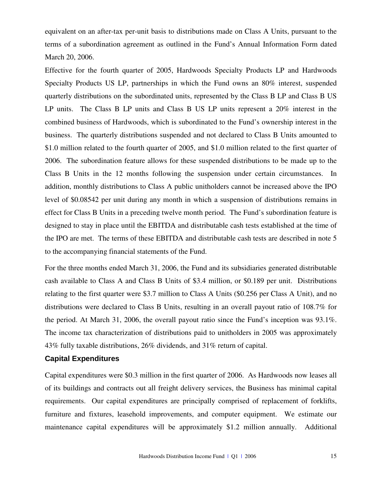equivalent on an after-tax per-unit basis to distributions made on Class A Units, pursuant to the terms of a subordination agreement as outlined in the Fund's Annual Information Form dated March 20, 2006.

Effective for the fourth quarter of 2005, Hardwoods Specialty Products LP and Hardwoods Specialty Products US LP, partnerships in which the Fund owns an 80% interest, suspended quarterly distributions on the subordinated units, represented by the Class B LP and Class B US LP units. The Class B LP units and Class B US LP units represent a 20% interest in the combined business of Hardwoods, which is subordinated to the Fund's ownership interest in the business. The quarterly distributions suspended and not declared to Class B Units amounted to \$1.0 million related to the fourth quarter of 2005, and \$1.0 million related to the first quarter of 2006. The subordination feature allows for these suspended distributions to be made up to the Class B Units in the 12 months following the suspension under certain circumstances. In addition, monthly distributions to Class A public unitholders cannot be increased above the IPO level of \$0.08542 per unit during any month in which a suspension of distributions remains in effect for Class B Units in a preceding twelve month period. The Fund's subordination feature is designed to stay in place until the EBITDA and distributable cash tests established at the time of the IPO are met. The terms of these EBITDA and distributable cash tests are described in note 5 to the accompanying financial statements of the Fund.

For the three months ended March 31, 2006, the Fund and its subsidiaries generated distributable cash available to Class A and Class B Units of \$3.4 million, or \$0.189 per unit. Distributions relating to the first quarter were \$3.7 million to Class A Units (\$0.256 per Class A Unit), and no distributions were declared to Class B Units, resulting in an overall payout ratio of 108.7% for the period. At March 31, 2006, the overall payout ratio since the Fund's inception was 93.1%. The income tax characterization of distributions paid to unitholders in 2005 was approximately 43% fully taxable distributions, 26% dividends, and 31% return of capital.

### **Capital Expenditures**

Capital expenditures were \$0.3 million in the first quarter of 2006. As Hardwoods now leases all of its buildings and contracts out all freight delivery services, the Business has minimal capital requirements. Our capital expenditures are principally comprised of replacement of forklifts, furniture and fixtures, leasehold improvements, and computer equipment. We estimate our maintenance capital expenditures will be approximately \$1.2 million annually. Additional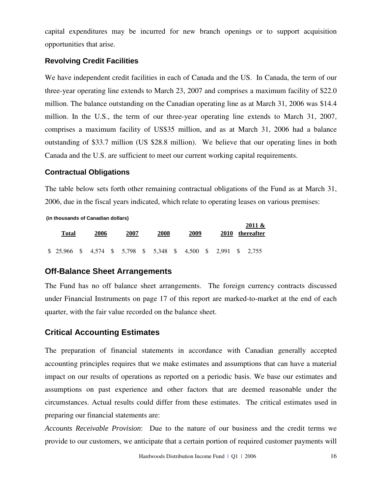capital expenditures may be incurred for new branch openings or to support acquisition opportunities that arise.

### **Revolving Credit Facilities**

We have independent credit facilities in each of Canada and the US. In Canada, the term of our three-year operating line extends to March 23, 2007 and comprises a maximum facility of \$22.0 million. The balance outstanding on the Canadian operating line as at March 31, 2006 was \$14.4 million. In the U.S., the term of our three-year operating line extends to March 31, 2007, comprises a maximum facility of US\$35 million, and as at March 31, 2006 had a balance outstanding of \$33.7 million (US \$28.8 million). We believe that our operating lines in both Canada and the U.S. are sufficient to meet our current working capital requirements.

### **Contractual Obligations**

The table below sets forth other remaining contractual obligations of the Fund as at March 31, 2006, due in the fiscal years indicated, which relate to operating leases on various premises:

**(in thousands of Canadian dollars)**

| Total                                                           | 2006 | 2007 | 2008 | 2009 |  | 2011 &<br>2010 thereafter |
|-----------------------------------------------------------------|------|------|------|------|--|---------------------------|
| \$ 25,966 \$ 4,574 \$ 5,798 \$ 5,348 \$ 4,500 \$ 2,991 \$ 2,755 |      |      |      |      |  |                           |

### **Off-Balance Sheet Arrangements**

The Fund has no off balance sheet arrangements. The foreign currency contracts discussed under Financial Instruments on page 17 of this report are marked-to-market at the end of each quarter, with the fair value recorded on the balance sheet.

### **Critical Accounting Estimates**

The preparation of financial statements in accordance with Canadian generally accepted accounting principles requires that we make estimates and assumptions that can have a material impact on our results of operations as reported on a periodic basis. We base our estimates and assumptions on past experience and other factors that are deemed reasonable under the circumstances. Actual results could differ from these estimates. The critical estimates used in preparing our financial statements are:

*Accounts Receivable Provision*: Due to the nature of our business and the credit terms we provide to our customers, we anticipate that a certain portion of required customer payments will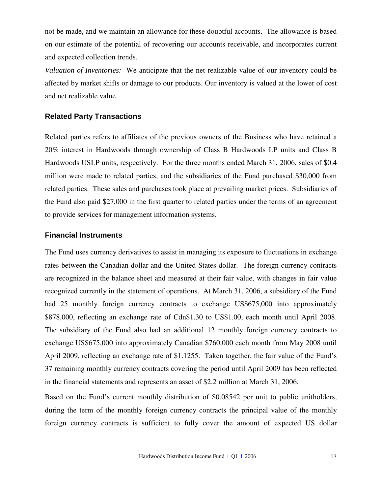not be made, and we maintain an allowance for these doubtful accounts. The allowance is based on our estimate of the potential of recovering our accounts receivable, and incorporates current and expected collection trends.

*Valuation of Inventories:* We anticipate that the net realizable value of our inventory could be affected by market shifts or damage to our products. Our inventory is valued at the lower of cost and net realizable value.

### **Related Party Transactions**

Related parties refers to affiliates of the previous owners of the Business who have retained a 20% interest in Hardwoods through ownership of Class B Hardwoods LP units and Class B Hardwoods USLP units, respectively. For the three months ended March 31, 2006, sales of \$0.4 million were made to related parties, and the subsidiaries of the Fund purchased \$30,000 from related parties. These sales and purchases took place at prevailing market prices. Subsidiaries of the Fund also paid \$27,000 in the first quarter to related parties under the terms of an agreement to provide services for management information systems.

### **Financial Instruments**

The Fund uses currency derivatives to assist in managing its exposure to fluctuations in exchange rates between the Canadian dollar and the United States dollar. The foreign currency contracts are recognized in the balance sheet and measured at their fair value, with changes in fair value recognized currently in the statement of operations. At March 31, 2006, a subsidiary of the Fund had 25 monthly foreign currency contracts to exchange US\$675,000 into approximately \$878,000, reflecting an exchange rate of Cdn\$1.30 to US\$1.00, each month until April 2008. The subsidiary of the Fund also had an additional 12 monthly foreign currency contracts to exchange US\$675,000 into approximately Canadian \$760,000 each month from May 2008 until April 2009, reflecting an exchange rate of \$1.1255. Taken together, the fair value of the Fund's 37 remaining monthly currency contracts covering the period until April 2009 has been reflected in the financial statements and represents an asset of \$2.2 million at March 31, 2006.

Based on the Fund's current monthly distribution of \$0.08542 per unit to public unitholders, during the term of the monthly foreign currency contracts the principal value of the monthly foreign currency contracts is sufficient to fully cover the amount of expected US dollar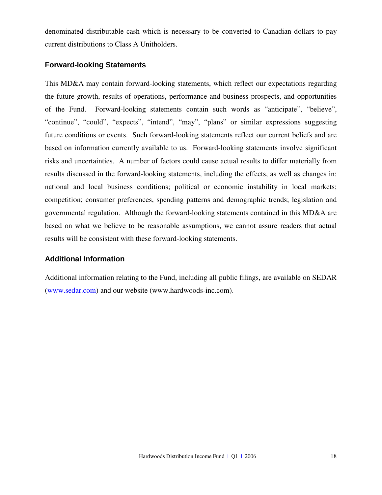denominated distributable cash which is necessary to be converted to Canadian dollars to pay current distributions to Class A Unitholders.

### **Forward-looking Statements**

This MD&A may contain forward-looking statements, which reflect our expectations regarding the future growth, results of operations, performance and business prospects, and opportunities of the Fund. Forward-looking statements contain such words as "anticipate", "believe", "continue", "could", "expects", "intend", "may", "plans" or similar expressions suggesting future conditions or events. Such forward-looking statements reflect our current beliefs and are based on information currently available to us. Forward-looking statements involve significant risks and uncertainties. A number of factors could cause actual results to differ materially from results discussed in the forward-looking statements, including the effects, as well as changes in: national and local business conditions; political or economic instability in local markets; competition; consumer preferences, spending patterns and demographic trends; legislation and governmental regulation. Although the forward-looking statements contained in this MD&A are based on what we believe to be reasonable assumptions, we cannot assure readers that actual results will be consistent with these forward-looking statements.

### **Additional Information**

Additional information relating to the Fund, including all public filings, are available on SEDAR (www.sedar.com) and our website (www.hardwoods-inc.com).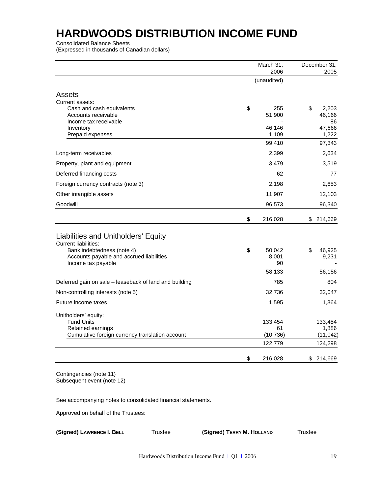Consolidated Balance Sheets

(Expressed in thousands of Canadian dollars)

|                                                                      | March 31,<br>2006 | December 31,<br>2005 |
|----------------------------------------------------------------------|-------------------|----------------------|
|                                                                      | (unaudited)       |                      |
| Assets                                                               |                   |                      |
|                                                                      |                   |                      |
| Current assets:<br>Cash and cash equivalents                         | \$<br>255         | \$<br>2,203          |
| Accounts receivable                                                  | 51,900            | 46,166               |
| Income tax receivable                                                |                   | 86                   |
| Inventory                                                            | 46,146            | 47,666               |
| Prepaid expenses                                                     | 1,109             | 1,222                |
|                                                                      | 99,410            | 97,343               |
| Long-term receivables                                                | 2,399             | 2,634                |
| Property, plant and equipment                                        | 3,479             | 3,519                |
| Deferred financing costs                                             | 62                | 77                   |
| Foreign currency contracts (note 3)                                  | 2,198             | 2,653                |
| Other intangible assets                                              | 11,907            | 12,103               |
| Goodwill                                                             | 96,573            | 96,340               |
|                                                                      | \$<br>216,028     | \$<br>214,669        |
|                                                                      |                   |                      |
| Liabilities and Unitholders' Equity                                  |                   |                      |
| <b>Current liabilities:</b>                                          |                   |                      |
| Bank indebtedness (note 4)                                           | \$<br>50,042      | \$<br>46,925         |
| Accounts payable and accrued liabilities<br>Income tax payable       | 8,001<br>90       | 9,231                |
|                                                                      | 58,133            | 56,156               |
| Deferred gain on sale - leaseback of land and building               | 785               | 804                  |
| Non-controlling interests (note 5)                                   | 32,736            | 32,047               |
| Future income taxes                                                  | 1,595             | 1,364                |
|                                                                      |                   |                      |
| Unitholders' equity:                                                 |                   |                      |
| <b>Fund Units</b>                                                    | 133,454           | 133,454              |
| Retained earnings<br>Cumulative foreign currency translation account | 61<br>(10, 736)   | 1,886<br>(11, 042)   |
|                                                                      | 122,779           | 124,298              |
|                                                                      |                   |                      |
|                                                                      | \$<br>216,028     | \$214,669            |

Contingencies (note 11) Subsequent event (note 12)

See accompanying notes to consolidated financial statements.

Approved on behalf of the Trustees:

**(Signed) LAWRENCE I. BELL** Trustee **(Signed) TERRY M. HOLLAND** Trustee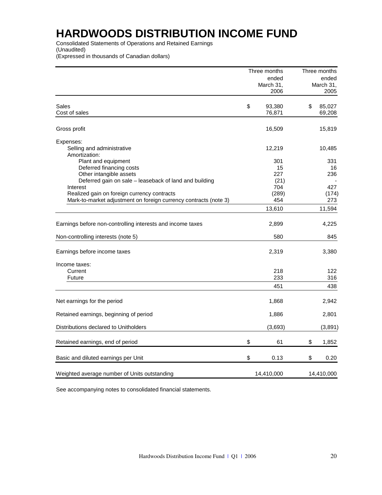Consolidated Statements of Operations and Retained Earnings (Unaudited)

(Expressed in thousands of Canadian dollars)

|                                                                  | Three months | Three months |            |  |
|------------------------------------------------------------------|--------------|--------------|------------|--|
|                                                                  | ended        |              | ended      |  |
|                                                                  | March 31,    |              | March 31,  |  |
|                                                                  | 2006         |              | 2005       |  |
|                                                                  |              |              |            |  |
| Sales                                                            | \$<br>93,380 | \$           | 85,027     |  |
| Cost of sales                                                    | 76,871       |              | 69,208     |  |
| Gross profit                                                     | 16,509       |              | 15,819     |  |
| Expenses:                                                        |              |              |            |  |
| Selling and administrative                                       | 12,219       |              | 10,485     |  |
| Amortization:                                                    |              |              |            |  |
| Plant and equipment                                              | 301          |              | 331        |  |
| Deferred financing costs                                         | 15           |              | 16         |  |
| Other intangible assets                                          | 227          |              | 236        |  |
| Deferred gain on sale - leaseback of land and building           | (21)         |              |            |  |
| Interest                                                         | 704          |              | 427        |  |
| Realized gain on foreign currency contracts                      | (289)        |              | (174)      |  |
| Mark-to-market adjustment on foreign currency contracts (note 3) | 454          |              | 273        |  |
|                                                                  | 13,610       |              | 11,594     |  |
|                                                                  |              |              |            |  |
| Earnings before non-controlling interests and income taxes       | 2,899        |              | 4,225      |  |
| Non-controlling interests (note 5)                               | 580          |              | 845        |  |
| Earnings before income taxes                                     | 2,319        |              | 3,380      |  |
| Income taxes:                                                    |              |              |            |  |
| Current                                                          | 218          |              | 122        |  |
| <b>Future</b>                                                    | 233          |              | 316        |  |
|                                                                  | 451          |              | 438        |  |
| Net earnings for the period                                      | 1,868        |              | 2,942      |  |
| Retained earnings, beginning of period                           | 1,886        |              | 2,801      |  |
|                                                                  |              |              |            |  |
| Distributions declared to Unitholders                            | (3,693)      |              | (3,891)    |  |
| Retained earnings, end of period                                 | \$<br>61     | \$           | 1,852      |  |
| Basic and diluted earnings per Unit                              | \$<br>0.13   | \$           | 0.20       |  |
| Weighted average number of Units outstanding                     | 14,410,000   |              | 14,410,000 |  |

See accompanying notes to consolidated financial statements.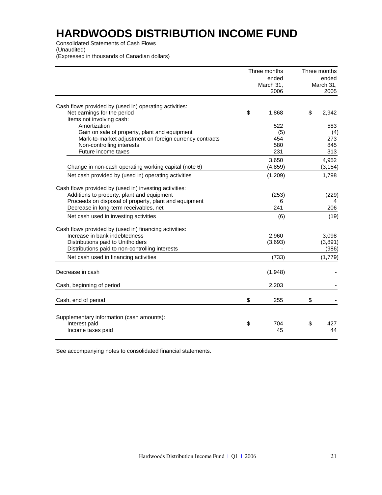Consolidated Statements of Cash Flows

(Unaudited)

(Expressed in thousands of Canadian dollars)

|                                                         | Three months | Three months |
|---------------------------------------------------------|--------------|--------------|
|                                                         | ended        | ended        |
|                                                         | March 31,    | March 31,    |
|                                                         | 2006         | 2005         |
| Cash flows provided by (used in) operating activities:  |              |              |
| Net earnings for the period                             | \$<br>1,868  | \$<br>2,942  |
| Items not involving cash:                               |              |              |
| Amortization                                            | 522          | 583          |
| Gain on sale of property, plant and equipment           | (5)          | (4)          |
| Mark-to-market adjustment on foreign currency contracts | 454          | 273          |
| Non-controlling interests                               | 580          | 845          |
| Future income taxes                                     | 231          | 313          |
|                                                         | 3,650        | 4,952        |
| Change in non-cash operating working capital (note 6)   | (4, 859)     | (3, 154)     |
| Net cash provided by (used in) operating activities     | (1,209)      | 1,798        |
| Cash flows provided by (used in) investing activities:  |              |              |
| Additions to property, plant and equipment              | (253)        | (229)        |
| Proceeds on disposal of property, plant and equipment   | 6            |              |
| Decrease in long-term receivables, net                  | 241          | 206          |
| Net cash used in investing activities                   | (6)          | (19)         |
| Cash flows provided by (used in) financing activities:  |              |              |
| Increase in bank indebtedness                           | 2,960        | 3,098        |
| Distributions paid to Unitholders                       | (3,693)      | (3,891)      |
| Distributions paid to non-controlling interests         |              | (986)        |
| Net cash used in financing activities                   | (733)        | (1,779)      |
| Decrease in cash                                        | (1,948)      |              |
| Cash, beginning of period                               | 2,203        |              |
| Cash, end of period                                     | \$<br>255    | \$           |
|                                                         |              |              |
| Supplementary information (cash amounts):               |              |              |
| Interest paid                                           | \$<br>704    | \$<br>427    |
| Income taxes paid                                       | 45           | 44           |
|                                                         |              |              |

See accompanying notes to consolidated financial statements.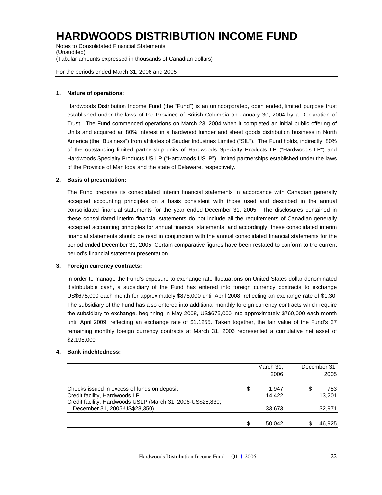Notes to Consolidated Financial Statements (Unaudited) (Tabular amounts expressed in thousands of Canadian dollars)

For the periods ended March 31, 2006 and 2005

### **1. Nature of operations:**

Hardwoods Distribution Income Fund (the "Fund") is an unincorporated, open ended, limited purpose trust established under the laws of the Province of British Columbia on January 30, 2004 by a Declaration of Trust. The Fund commenced operations on March 23, 2004 when it completed an initial public offering of Units and acquired an 80% interest in a hardwood lumber and sheet goods distribution business in North America (the "Business") from affiliates of Sauder Industries Limited ("SIL"). The Fund holds, indirectly, 80% of the outstanding limited partnership units of Hardwoods Specialty Products LP ("Hardwoods LP") and Hardwoods Specialty Products US LP ("Hardwoods USLP"), limited partnerships established under the laws of the Province of Manitoba and the state of Delaware, respectively.

### **2. Basis of presentation:**

The Fund prepares its consolidated interim financial statements in accordance with Canadian generally accepted accounting principles on a basis consistent with those used and described in the annual consolidated financial statements for the year ended December 31, 2005. The disclosures contained in these consolidated interim financial statements do not include all the requirements of Canadian generally accepted accounting principles for annual financial statements, and accordingly, these consolidated interim financial statements should be read in conjunction with the annual consolidated financial statements for the period ended December 31, 2005. Certain comparative figures have been restated to conform to the current period's financial statement presentation.

#### **3. Foreign currency contracts:**

In order to manage the Fund's exposure to exchange rate fluctuations on United States dollar denominated distributable cash, a subsidiary of the Fund has entered into foreign currency contracts to exchange US\$675,000 each month for approximately \$878,000 until April 2008, reflecting an exchange rate of \$1.30. The subsidiary of the Fund has also entered into additional monthly foreign currency contracts which require the subsidiary to exchange, beginning in May 2008, US\$675,000 into approximately \$760,000 each month until April 2009, reflecting an exchange rate of \$1.1255. Taken together, the fair value of the Fund's 37 remaining monthly foreign currency contracts at March 31, 2006 represented a cumulative net asset of \$2,198,000.

#### **4. Bank indebtedness:**

|                                                                                                                                             |    | March 31,<br>2006 | December 31.<br>2005 |
|---------------------------------------------------------------------------------------------------------------------------------------------|----|-------------------|----------------------|
| Checks issued in excess of funds on deposit<br>Credit facility, Hardwoods LP<br>Credit facility, Hardwoods USLP (March 31, 2006-US\$28,830; | \$ | 1.947<br>14.422   | 753<br>13.201        |
| December 31, 2005-US\$28,350)                                                                                                               |    | 33.673            | 32,971               |
|                                                                                                                                             | S  | 50.042            | 46.925               |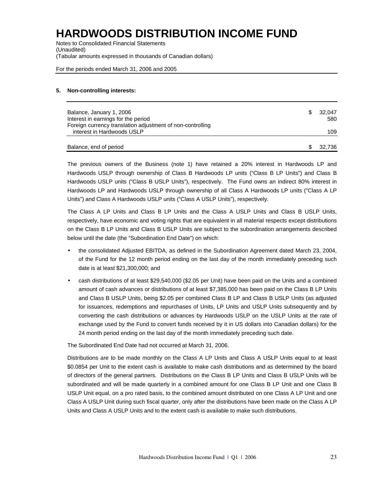Notes to Consolidated Financial Statements (Unaudited) (Tabular amounts expressed in thousands of Canadian dollars)

For the periods ended March 31, 2006 and 2005

### **5. Non-controlling interests:**

| Balance, January 1, 2006                                   | 32.047 |
|------------------------------------------------------------|--------|
| Interest in earnings for the period                        | 580    |
| Foreign currency translation adjustment of non-controlling |        |
| interest in Hardwoods USLP                                 | 109    |
|                                                            |        |
| Balance, end of period                                     | 32.736 |

The previous owners of the Business (note 1) have retained a 20% interest in Hardwoods LP and Hardwoods USLP through ownership of Class B Hardwoods LP units ("Class B LP Units") and Class B Hardwoods USLP units ("Class B USLP Units"), respectively. The Fund owns an indirect 80% interest in Hardwoods LP and Hardwoods USLP through ownership of all Class A Hardwoods LP units ("Class A LP Units") and Class A Hardwoods USLP units ("Class A USLP Units"), respectively.

The Class A LP Units and Class B LP Units and the Class A USLP Units and Class B USLP Units, respectively, have economic and voting rights that are equivalent in all material respects except distributions on the Class B LP Units and Class B USLP Units are subject to the subordination arrangements described below until the date (the "Subordination End Date") on which:

- the consolidated Adjusted EBITDA, as defined in the Subordination Agreement dated March 23, 2004, of the Fund for the 12 month period ending on the last day of the month immediately preceding such date is at least \$21,300,000; and
- cash distributions of at least \$29,540,000 (\$2.05 per Unit) have been paid on the Units and a combined amount of cash advances or distributions of at least \$7,385,000 has been paid on the Class B LP Units and Class B USLP Units, being \$2.05 per combined Class B LP and Class B USLP Units (as adjusted for issuances, redemptions and repurchases of Units, LP Units and USLP Units subsequently and by converting the cash distributions or advances by Hardwoods USLP on the USLP Units at the rate of exchange used by the Fund to convert funds received by it in US dollars into Canadian dollars) for the 24 month period ending on the last day of the month immediately preceding such date.

The Subordinated End Date had not occurred at March 31, 2006.

Distributions are to be made monthly on the Class A LP Units and Class A USLP Units equal to at least \$0.0854 per Unit to the extent cash is available to make cash distributions and as determined by the board of directors of the general partners. Distributions on the Class B LP Units and Class B USLP Units will be subordinated and will be made quarterly in a combined amount for one Class B LP Unit and one Class B USLP Unit equal, on a pro rated basis, to the combined amount distributed on one Class A LP Unit and one Class A USLP Unit during such fiscal quarter, only after the distributions have been made on the Class A LP Units and Class A USLP Units and to the extent cash is available to make such distributions.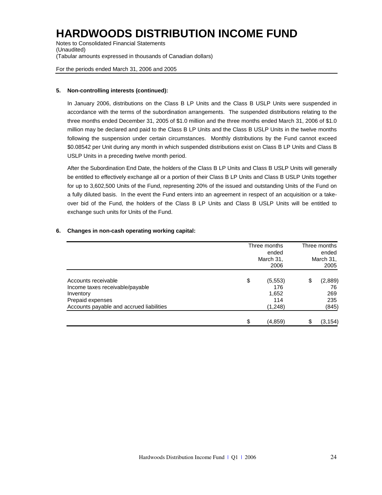Notes to Consolidated Financial Statements (Unaudited) (Tabular amounts expressed in thousands of Canadian dollars)

For the periods ended March 31, 2006 and 2005

### **5. Non-controlling interests (continued):**

In January 2006, distributions on the Class B LP Units and the Class B USLP Units were suspended in accordance with the terms of the subordination arrangements. The suspended distributions relating to the three months ended December 31, 2005 of \$1.0 million and the three months ended March 31, 2006 of \$1.0 million may be declared and paid to the Class B LP Units and the Class B USLP Units in the twelve months following the suspension under certain circumstances. Monthly distributions by the Fund cannot exceed \$0.08542 per Unit during any month in which suspended distributions exist on Class B LP Units and Class B USLP Units in a preceding twelve month period.

After the Subordination End Date, the holders of the Class B LP Units and Class B USLP Units will generally be entitled to effectively exchange all or a portion of their Class B LP Units and Class B USLP Units together for up to 3,602,500 Units of the Fund, representing 20% of the issued and outstanding Units of the Fund on a fully diluted basis. In the event the Fund enters into an agreement in respect of an acquisition or a takeover bid of the Fund, the holders of the Class B LP Units and Class B USLP Units will be entitled to exchange such units for Units of the Fund.

### **6. Changes in non-cash operating working capital:**

|                                          |    | Three months<br>ended |    |           |
|------------------------------------------|----|-----------------------|----|-----------|
|                                          |    |                       |    |           |
|                                          |    | March 31,             |    | March 31, |
|                                          |    | 2006                  |    | 2005      |
| Accounts receivable                      | \$ | (5, 553)              | \$ | (2,889)   |
| Income taxes receivable/payable          |    | 176                   |    | 76        |
| Inventory                                |    | 1,652                 |    | 269       |
| Prepaid expenses                         |    | 114                   |    | 235       |
| Accounts payable and accrued liabilities |    | (1,248)               |    | (845)     |
|                                          | \$ | (4, 859)              |    | (3, 154)  |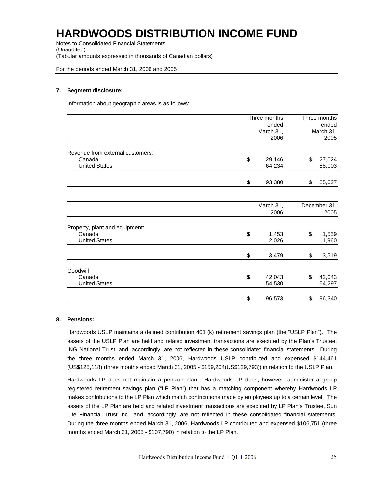Notes to Consolidated Financial Statements (Unaudited) (Tabular amounts expressed in thousands of Canadian dollars)

For the periods ended March 31, 2006 and 2005

#### **7. Segment disclosure:**

Information about geographic areas is as follows:

|                                  | Three months |    | Three months |
|----------------------------------|--------------|----|--------------|
|                                  | ended        |    |              |
|                                  | March 31,    |    | March 31,    |
|                                  | 2006         |    | 2005         |
| Revenue from external customers: |              |    |              |
| Canada                           | \$<br>29,146 | \$ | 27,024       |
| <b>United States</b>             | 64,234       |    | 58,003       |
|                                  |              |    |              |
|                                  | \$<br>93,380 | \$ | 85,027       |
|                                  |              |    |              |
|                                  | March 31,    |    | December 31, |
|                                  | 2006         |    | 2005         |
| Property, plant and equipment:   |              |    |              |
| Canada                           | \$<br>1,453  | \$ | 1,559        |
| <b>United States</b>             | 2,026        |    | 1,960        |
|                                  |              |    |              |
|                                  | \$<br>3,479  | \$ | 3,519        |
| Goodwill                         |              |    |              |
| Canada                           | \$<br>42,043 | \$ | 42,043       |
| <b>United States</b>             | 54,530       |    | 54,297       |
|                                  |              |    |              |
|                                  | \$<br>96,573 | \$ | 96,340       |

### **8. Pensions:**

Hardwoods USLP maintains a defined contribution 401 (k) retirement savings plan (the "USLP Plan"). The assets of the USLP Plan are held and related investment transactions are executed by the Plan's Trustee, ING National Trust, and, accordingly, are not reflected in these consolidated financial statements. During the three months ended March 31, 2006, Hardwoods USLP contributed and expensed \$144,461 (US\$125,118) (three months ended March 31, 2005 - \$159,204(US\$129,793)) in relation to the USLP Plan.

Hardwoods LP does not maintain a pension plan. Hardwoods LP does, however, administer a group registered retirement savings plan ("LP Plan") that has a matching component whereby Hardwoods LP makes contributions to the LP Plan which match contributions made by employees up to a certain level. The assets of the LP Plan are held and related investment transactions are executed by LP Plan's Trustee, Sun Life Financial Trust Inc., and, accordingly, are not reflected in these consolidated financial statements. During the three months ended March 31, 2006, Hardwoods LP contributed and expensed \$106,751 (three months ended March 31, 2005 - \$107,790) in relation to the LP Plan.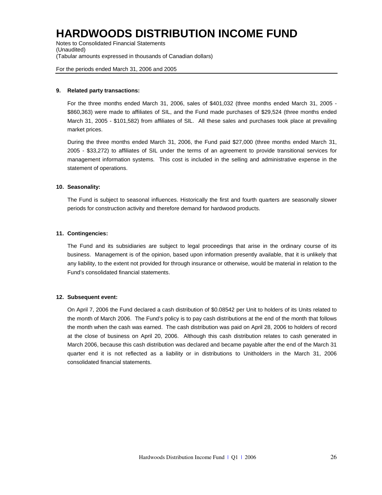Notes to Consolidated Financial Statements (Unaudited) (Tabular amounts expressed in thousands of Canadian dollars)

For the periods ended March 31, 2006 and 2005

### **9. Related party transactions:**

For the three months ended March 31, 2006, sales of \$401,032 (three months ended March 31, 2005 - \$860,363) were made to affiliates of SIL, and the Fund made purchases of \$29,524 (three months ended March 31, 2005 - \$101,582) from affiliates of SIL. All these sales and purchases took place at prevailing market prices.

During the three months ended March 31, 2006, the Fund paid \$27,000 (three months ended March 31, 2005 - \$33,272) to affiliates of SIL under the terms of an agreement to provide transitional services for management information systems. This cost is included in the selling and administrative expense in the statement of operations.

### **10. Seasonality:**

The Fund is subject to seasonal influences. Historically the first and fourth quarters are seasonally slower periods for construction activity and therefore demand for hardwood products.

### **11. Contingencies:**

The Fund and its subsidiaries are subject to legal proceedings that arise in the ordinary course of its business. Management is of the opinion, based upon information presently available, that it is unlikely that any liability, to the extent not provided for through insurance or otherwise, would be material in relation to the Fund's consolidated financial statements.

#### **12. Subsequent event:**

On April 7, 2006 the Fund declared a cash distribution of \$0.08542 per Unit to holders of its Units related to the month of March 2006. The Fund's policy is to pay cash distributions at the end of the month that follows the month when the cash was earned. The cash distribution was paid on April 28, 2006 to holders of record at the close of business on April 20, 2006. Although this cash distribution relates to cash generated in March 2006, because this cash distribution was declared and became payable after the end of the March 31 quarter end it is not reflected as a liability or in distributions to Unitholders in the March 31, 2006 consolidated financial statements.